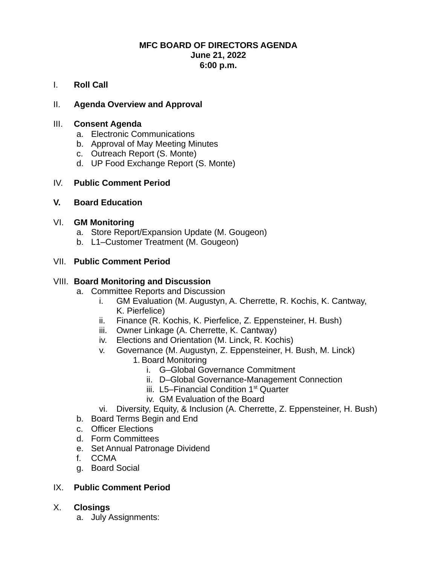#### **MFC BOARD OF DIRECTORS AGENDA June 21, 2022 6:00 p.m.**

I. **Roll Call**

# II. **Agenda Overview and Approval**

## III. **Consent Agenda**

- a. Electronic Communications
- b. Approval of May Meeting Minutes
- c. Outreach Report (S. Monte)
- d. UP Food Exchange Report (S. Monte)

## IV. **Public Comment Period**

## **V. Board Education**

## VI. **GM Monitoring**

- a. Store Report/Expansion Update (M. Gougeon)
- b. L1–Customer Treatment (M. Gougeon)

## VII. **Public Comment Period**

#### VIII. **Board Monitoring and Discussion**

- a. Committee Reports and Discussion
	- i. GM Evaluation (M. Augustyn, A. Cherrette, R. Kochis, K. Cantway, K. Pierfelice)
	- ii. Finance (R. Kochis, K. Pierfelice, Z. Eppensteiner, H. Bush)
	- iii. Owner Linkage (A. Cherrette, K. Cantway)
	- iv. Elections and Orientation (M. Linck, R. Kochis)
	- v. Governance (M. Augustyn, Z. Eppensteiner, H. Bush, M. Linck)
		- 1. Board Monitoring
			- i. G–Global Governance Commitment
			- ii. D–Global Governance-Management Connection
			- iii.  $L5$ –Financial Condition  $1<sup>st</sup>$  Ouarter
			- iv. GM Evaluation of the Board
	- vi. Diversity, Equity, & Inclusion (A. Cherrette, Z. Eppensteiner, H. Bush)
- b. Board Terms Begin and End
- c. Officer Elections
- d. Form Committees
- e. Set Annual Patronage Dividend
- f. CCMA
- g. Board Social

## IX. **Public Comment Period**

## X. **Closings**

a. July Assignments: